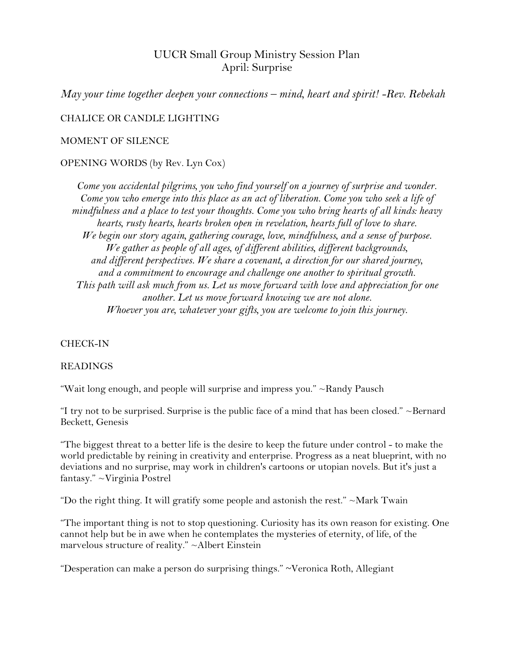# UUCR Small Group Ministry Session Plan April: Surprise

*May your time together deepen your connections – mind, heart and spirit! -Rev. Rebekah*

CHALICE OR CANDLE LIGHTING

## MOMENT OF SILENCE

## OPENING WORDS (by Rev. Lyn Cox)

*Come you accidental pilgrims, you who find yourself on a journey of surprise and wonder. Come you who emerge into this place as an act of liberation. Come you who seek a life of mindfulness and a place to test your thoughts. Come you who bring hearts of all kinds: heavy hearts, rusty hearts, hearts broken open in revelation, hearts full of love to share. We begin our story again, gathering courage, love, mindfulness, and a sense of purpose. We gather as people of all ages, of different abilities, different backgrounds, and different perspectives. We share a covenant, a direction for our shared journey, and a commitment to encourage and challenge one another to spiritual growth. This path will ask much from us. Let us move forward with love and appreciation for one another. Let us move forward knowing we are not alone. Whoever you are, whatever your gifts, you are welcome to join this journey.*

## CHECK-IN

## **READINGS**

"Wait long enough, and people will surprise and impress you." ~Randy Pausch

"I try not to be surprised. Surprise is the public face of a mind that has been closed." [~Bernard](http://www.goodreads.com/author/show/1290482.Bernard_Beckett)  [Beckett,](http://www.goodreads.com/author/show/1290482.Bernard_Beckett) [Genesis](http://www.goodreads.com/work/quotes/6351510)

"The biggest threat to a better life is the desire to keep the future under control - to make the world predictable by reining in creativity and enterprise. Progress as a neat blueprint, with no deviations and no surprise, may work in children's cartoons or utopian novels. But it's just a fantasy." ~Virginia Postrel

"Do the right thing. It will gratify some people and astonish the rest." ~Mark Twain

"The important thing is not to stop questioning. Curiosity has its own reason for existing. One cannot help but be in awe when he contemplates the mysteries of eternity, of life, of the marvelous structure of reality." ~Albert Einstein

"Desperation can make a person do surprising things." ~[Veronica Roth,](http://www.goodreads.com/author/show/4039811.Veronica_Roth) [Allegiant](http://www.goodreads.com/work/quotes/15524549)